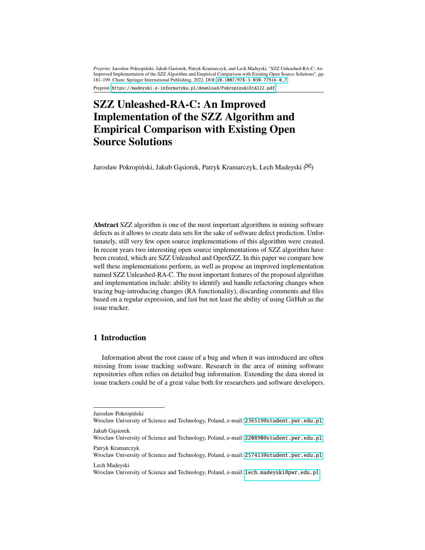*Preprint:* Jarosław Pokropiński, Jakub Gasiorek, Patryk Kramarczyk, and Lech Madeyski, "SZZ Unleashed-RA-C: An Improved Implementation of the SZZ Algorithm and Empirical Comparison with Existing Open Source Solutions", pp. 181–199. Cham: Springer International Publishing, 2022. DOI: [10.1007/978-3-030-77916-0\\_7](http://dx.doi.org/10.1007/978-3-030-77916-0_7)

Preprint: <https://madeyski.e-informatyka.pl/download/PokropinskiEtAl22.pdf>

# **SZZ Unleashed-RA-C: An Improved Implementation of the SZZ Algorithm and Empirical Comparison with Existing Open Source Solutions**

Jarosław Pokropiński, Jakub Gąsiorek, Patryk Kramarczyk, Lech Madeyski ( $\boxtimes$ )

**Abstract** SZZ algorithm is one of the most important algorithms in mining software defects as it allows to create data sets for the sake of software defect prediction. Unfortunately, still very few open source implementations of this algorithm were created. In recent years two interesting open source implementations of SZZ algorithm have been created, which are SZZ Unleashed and OpenSZZ. In this paper we compare how well these implementations perform, as well as propose an improved implementation named SZZ Unleashed-RA-C. The most important features of the proposed algorithm and implementation include: ability to identify and handle refactoring changes when tracing bug-introducing changes (RA functionality), discarding comments and files based on a regular expression, and last but not least the ability of using GitHub as the issue tracker.

# **1 Introduction**

Information about the root cause of a bug and when it was introduced are often missing from issue tracking software. Research in the area of mining software repositories often relies on detailed bug information. Extending the data stored in issue trackers could be of a great value both for researchers and software developers.

Lech Madeyski

Jarosław Pokropiński

Wroclaw University of Science and Technology, Poland, e-mail: <236519@student.pwr.edu.pl> Jakub Gąsiorek

Wroclaw University of Science and Technology, Poland, e-mail: <220890@student.pwr.edu.pl>

Patryk Kramarczyk Wroclaw University of Science and Technology, Poland, e-mail: <257413@student.pwr.edu.pl>

Wroclaw University of Science and Technology, Poland, e-mail: <lech.madeyski@pwr.edu.pl>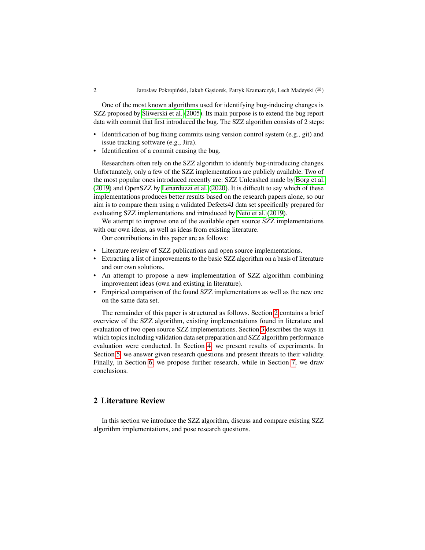#### 2 Jarosław Pokropiński, Jakub Gąsiorek, Patryk Kramarczyk, Lech Madeyski ( $\boxtimes$ )

One of the most known algorithms used for identifying bug-inducing changes is SZZ proposed by [Śliwerski et al.](#page-18-0) [\(2005\)](#page-18-0). Its main purpose is to extend the bug report data with commit that first introduced the bug. The SZZ algorithm consists of 2 steps:

- Identification of bug fixing commits using version control system (e.g., git) and issue tracking software (e.g., Jira).
- Identification of a commit causing the bug.

Researchers often rely on the SZZ algorithm to identify bug-introducing changes. Unfortunately, only a few of the SZZ implementations are publicly available. Two of the most popular ones introduced recently are: SZZ Unleashed made by [Borg et al.](#page-17-0) [\(2019\)](#page-17-0) and OpenSZZ by [Lenarduzzi et al.](#page-17-1) [\(2020\)](#page-17-1). It is difficult to say which of these implementations produces better results based on the research papers alone, so our aim is to compare them using a validated Defects4J data set specifically prepared for evaluating SZZ implementations and introduced by [Neto et al.](#page-17-2) [\(2019\)](#page-17-2).

We attempt to improve one of the available open source SZZ implementations with our own ideas, as well as ideas from existing literature.

Our contributions in this paper are as follows:

- Literature review of SZZ publications and open source implementations.
- Extracting a list of improvements to the basic SZZ algorithm on a basis of literature and our own solutions.
- An attempt to propose a new implementation of SZZ algorithm combining improvement ideas (own and existing in literature).
- Empirical comparison of the found SZZ implementations as well as the new one on the same data set.

The remainder of this paper is structured as follows. Section [2](#page-1-0) contains a brief overview of the SZZ algorithm, existing implementations found in literature and evaluation of two open source SZZ implementations. Section [3](#page-6-0) describes the ways in which topics including validation data set preparation and SZZ algorithm performance evaluation were conducted. In Section [4,](#page-9-0) we present results of experiments. In Section [5,](#page-12-0) we answer given research questions and present threats to their validity. Finally, in Section [6,](#page-14-0) we propose further research, while in Section [7,](#page-14-1) we draw conclusions.

# <span id="page-1-0"></span>**2 Literature Review**

In this section we introduce the SZZ algorithm, discuss and compare existing SZZ algorithm implementations, and pose research questions.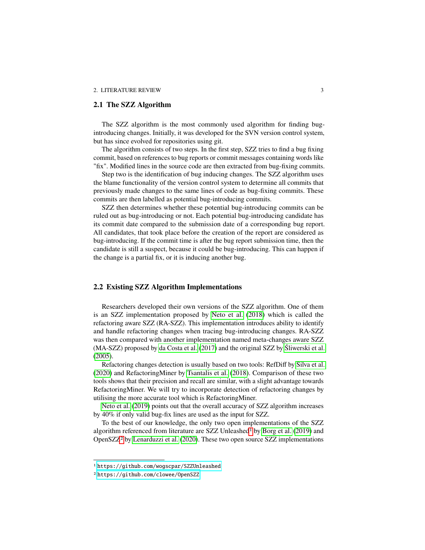#### **2.1 The SZZ Algorithm**

The SZZ algorithm is the most commonly used algorithm for finding bugintroducing changes. Initially, it was developed for the SVN version control system, but has since evolved for repositories using git.

The algorithm consists of two steps. In the first step, SZZ tries to find a bug fixing commit, based on references to bug reports or commit messages containing words like "fix". Modified lines in the source code are then extracted from bug-fixing commits.

Step two is the identification of bug inducing changes. The SZZ algorithm uses the blame functionality of the version control system to determine all commits that previously made changes to the same lines of code as bug-fixing commits. These commits are then labelled as potential bug-introducing commits.

SZZ then determines whether these potential bug-introducing commits can be ruled out as bug-introducing or not. Each potential bug-introducing candidate has its commit date compared to the submission date of a corresponding bug report. All candidates, that took place before the creation of the report are considered as bug-introducing. If the commit time is after the bug report submission time, then the candidate is still a suspect, because it could be bug-introducing. This can happen if the change is a partial fix, or it is inducing another bug.

# <span id="page-2-2"></span>**2.2 Existing SZZ Algorithm Implementations**

Researchers developed their own versions of the SZZ algorithm. One of them is an SZZ implementation proposed by [Neto et al.](#page-17-3) [\(2018\)](#page-17-3) which is called the refactoring aware SZZ (RA-SZZ). This implementation introduces ability to identify and handle refactoring changes when tracing bug-introducing changes. RA-SZZ was then compared with another implementation named meta-changes aware SZZ (MA-SZZ) proposed by [da Costa et al.](#page-17-4) [\(2017\)](#page-17-4) and the original SZZ by [Śliwerski et al.](#page-18-0) [\(2005\)](#page-18-0).

Refactoring changes detection is usually based on two tools: RefDiff by [Silva et al.](#page-17-5) [\(2020\)](#page-17-5) and RefactoringMiner by [Tsantalis et al.](#page-18-1) [\(2018\)](#page-18-1). Comparison of these two tools shows that their precision and recall are similar, with a slight advantage towards RefactoringMiner. We will try to incorporate detection of refactoring changes by utilising the more accurate tool which is RefactoringMiner.

[Neto et al.](#page-17-2) [\(2019\)](#page-17-2) points out that the overall accuracy of SZZ algorithm increases by 40% if only valid bug-fix lines are used as the input for SZZ.

To the best of our knowledge, the only two open implementations of the SZZ algorithm referenced from literature are SZZ Unleashed<sup>[1](#page-2-0)</sup> by [Borg et al.](#page-17-0) [\(2019\)](#page-17-0) and OpenSZZ[2](#page-2-1) by [Lenarduzzi et al.](#page-17-1) [\(2020\)](#page-17-1). These two open source SZZ implementations

<span id="page-2-0"></span><sup>1</sup> <https://github.com/wogscpar/SZZUnleashed>

<span id="page-2-1"></span><sup>2</sup> <https://github.com/clowee/OpenSZZ>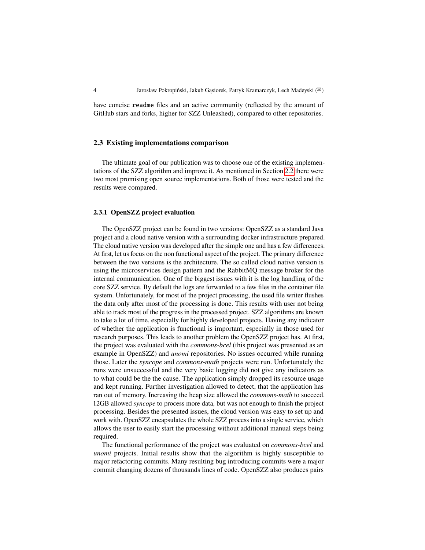have concise readme files and an active community (reflected by the amount of GitHub stars and forks, higher for SZZ Unleashed), compared to other repositories.

#### **2.3 Existing implementations comparison**

The ultimate goal of our publication was to choose one of the existing implementations of the SZZ algorithm and improve it. As mentioned in Section [2.2](#page-2-2) there were two most promising open source implementations. Both of those were tested and the results were compared.

#### **2.3.1 OpenSZZ project evaluation**

The OpenSZZ project can be found in two versions: OpenSZZ as a standard Java project and a cloud native version with a surrounding docker infrastructure prepared. The cloud native version was developed after the simple one and has a few differences. At first, let us focus on the non functional aspect of the project. The primary difference between the two versions is the architecture. The so called cloud native version is using the microservices design pattern and the RabbitMQ message broker for the internal communication. One of the biggest issues with it is the log handling of the core SZZ service. By default the logs are forwarded to a few files in the container file system. Unfortunately, for most of the project processing, the used file writer flushes the data only after most of the processing is done. This results with user not being able to track most of the progress in the processed project. SZZ algorithms are known to take a lot of time, especially for highly developed projects. Having any indicator of whether the application is functional is important, especially in those used for research purposes. This leads to another problem the OpenSZZ project has. At first, the project was evaluated with the *commons-bcel* (this project was presented as an example in OpenSZZ) and *unomi* repositories. No issues occurred while running those. Later the *syncope* and *commons-math* projects were run. Unfortunately the runs were unsuccessful and the very basic logging did not give any indicators as to what could be the the cause. The application simply dropped its resource usage and kept running. Further investigation allowed to detect, that the application has ran out of memory. Increasing the heap size allowed the *commons-math* to succeed. 12GB allowed *syncope* to process more data, but was not enough to finish the project processing. Besides the presented issues, the cloud version was easy to set up and work with. OpenSZZ encapsulates the whole SZZ process into a single service, which allows the user to easily start the processing without additional manual steps being required.

The functional performance of the project was evaluated on *commons-bcel* and *unomi* projects. Initial results show that the algorithm is highly susceptible to major refactoring commits. Many resulting bug introducing commits were a major commit changing dozens of thousands lines of code. OpenSZZ also produces pairs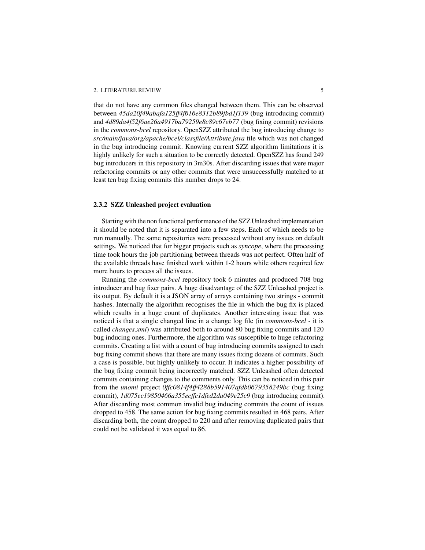#### 2. LITERATURE REVIEW 5

that do not have any common files changed between them. This can be observed between *45da20f49abafa125ff4f616e8312b89fbd1f139* (bug introducing commit) and *4d89da4f52f6ae26a4917ba79259e8c89c67eb77* (bug fixing commit) revisions in the *commons-bcel* repository. OpenSZZ attributed the bug introducing change to *src/main/java/org/apache/bcel/classfile/Attribute.java* file which was not changed in the bug introducing commit. Knowing current SZZ algorithm limitations it is highly unlikely for such a situation to be correctly detected. OpenSZZ has found 249 bug introducers in this repository in 3m30s. After discarding issues that were major refactoring commits or any other commits that were unsuccessfully matched to at least ten bug fixing commits this number drops to 24.

#### **2.3.2 SZZ Unleashed project evaluation**

Starting with the non functional performance of the SZZ Unleashed implementation it should be noted that it is separated into a few steps. Each of which needs to be run manually. The same repositories were processed without any issues on default settings. We noticed that for bigger projects such as *syncope*, where the processing time took hours the job partitioning between threads was not perfect. Often half of the available threads have finished work within 1-2 hours while others required few more hours to process all the issues.

Running the *commons-bcel* repository took 6 minutes and produced 708 bug introducer and bug fixer pairs. A huge disadvantage of the SZZ Unleashed project is its output. By default it is a JSON array of arrays containing two strings - commit hashes. Internally the algorithm recognises the file in which the bug fix is placed which results in a huge count of duplicates. Another interesting issue that was noticed is that a single changed line in a change log file (in *commons-bcel* - it is called *changes.xml*) was attributed both to around 80 bug fixing commits and 120 bug inducing ones. Furthermore, the algorithm was susceptible to huge refactoring commits. Creating a list with a count of bug introducing commits assigned to each bug fixing commit shows that there are many issues fixing dozens of commits. Such a case is possible, but highly unlikely to occur. It indicates a higher possibility of the bug fixing commit being incorrectly matched. SZZ Unleashed often detected commits containing changes to the comments only. This can be noticed in this pair from the *unomi* project *0ffc0814f4ff4288b591407afdb0679358249bc* (bug fixing commit), *1d075ec19850466a355ecffc1dfed2da049e25c9* (bug introducing commit). After discarding most common invalid bug inducing commits the count of issues dropped to 458. The same action for bug fixing commits resulted in 468 pairs. After discarding both, the count dropped to 220 and after removing duplicated pairs that could not be validated it was equal to 86.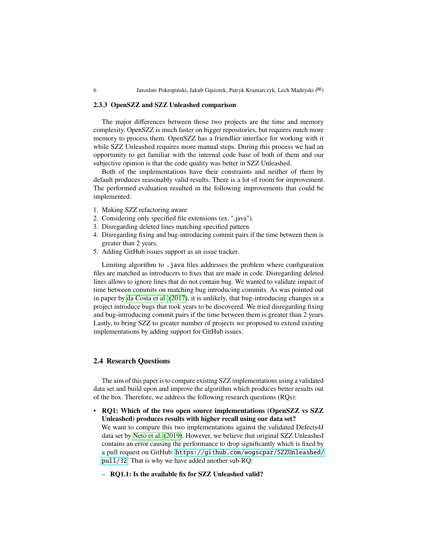# **2.3.3 OpenSZZ and SZZ Unleashed comparison**

The major differences between those two projects are the time and memory complexity. OpenSZZ is much faster on bigger repositories, but requires much more memory to process them. OpenSZZ has a friendlier interface for working with it while SZZ Unleashed requires more manual steps. During this process we had an opportunity to get familiar with the internal code base of both of them and our subjective opinion is that the code quality was better in SZZ Unleashed.

Both of the implementations have their constraints and neither of them by default produces reasonably valid results. There is a lot of room for improvement. The performed evaluation resulted in the following improvements that could be implemented:

- <span id="page-5-0"></span>1. Making SZZ refactoring aware
- <span id="page-5-1"></span>2. Considering only specified file extensions (ex. ".java").
- <span id="page-5-2"></span>3. Disregarding deleted lines matching specified pattern.
- <span id="page-5-3"></span>4. Disregarding fixing and bug-introducing commit pairs if the time between them is greater than 2 years.
- <span id="page-5-4"></span>5. Adding GitHub issues support as an issue tracker.

Limiting algorithm to . java files addresses the problem where configuration files are matched as introducers to fixes that are made in code. Disregarding deleted lines allows to ignore lines that do not contain bug. We wanted to validate impact of time between commits on matching bug introducing commits. As was pointed out in paper by [da Costa et al.](#page-17-4) [\(2017\)](#page-17-4), it is unlikely, that bug-introducing changes in a project introduce bugs that took years to be discovered. We tried disregarding fixing and bug-introducing commit pairs if the time between them is greater than 2 years. Lastly, to bring SZZ to greater number of projects we proposed to extend existing implementations by adding support for GitHub issues.

#### **2.4 Research Questions**

The aim of this paper is to compare existing SZZ implementations using a validated data set and build upon and improve the algorithm which produces better results out of the box. Therefore, we address the following research questions (RQs):

• **RQ1: Which of the two open source implementations (OpenSZZ vs SZZ Unleashed) produces results with higher recall using our data set?**

We want to compare this two implementations against the validated Defects4J data set by [Neto et al.](#page-17-2) [\(2019\)](#page-17-2). However, we believe that original SZZ Unleashed contains an error causing the performance to drop significantly which is fixed by a pull request on GitHub: [https://github.com/wogscpar/SZZUnleashed/](https://github.com/wogscpar/SZZUnleashed/pull/32) [pull/32](https://github.com/wogscpar/SZZUnleashed/pull/32). That is why we have added another sub-RQ:

– **RQ1.1: Is the available fix for SZZ Unleashed valid?**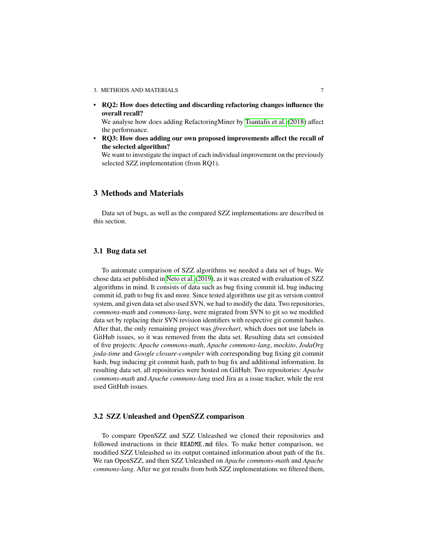• **RQ2: How does detecting and discarding refactoring changes influence the overall recall?**

We analyse how does adding RefactoringMiner by [Tsantalis et al.](#page-18-1) [\(2018\)](#page-18-1) affect the performance.

• **RQ3: How does adding our own proposed improvements affect the recall of the selected algorithm?**

We want to investigate the impact of each individual improvement on the previously selected SZZ implementation (from RQ1).

# <span id="page-6-0"></span>**3 Methods and Materials**

Data set of bugs, as well as the compared SZZ implementations are described in this section.

# <span id="page-6-2"></span>**3.1 Bug data set**

To automate comparison of SZZ algorithms we needed a data set of bugs. We chose data set published in [Neto et al.](#page-17-2) [\(2019\)](#page-17-2), as it was created with evaluation of SZZ algorithms in mind. It consists of data such as bug fixing commit id, bug inducing commit id, path to bug fix and more. Since tested algorithms use git as version control system, and given data set also used SVN, we had to modify the data. Two repositories, *commons-math* and *commons-lang*, were migrated from SVN to git so we modified data set by replacing their SVN revision identifiers with respective git commit hashes. After that, the only remaining project was *jfreechart*, which does not use labels in GitHub issues, so it was removed from the data set. Resulting data set consisted of five projects: *Apache commons-math*, *Apache commons-lang*, *mockito*, *JodaOrg joda-time* and *Google closure-compiler* with corresponding bug fixing git commit hash, bug inducing git commit hash, path to bug fix and additional information. In resulting data set, all repositories were hosted on GitHub. Two repositories: *Apache commons-math* and *Apache commons-lang* used Jira as a issue tracker, while the rest used GitHub issues.

#### <span id="page-6-1"></span>**3.2 SZZ Unleashed and OpenSZZ comparison**

To compare OpenSZZ and SZZ Unleashed we cloned their repositories and followed instructions in their README.md files. To make better comparison, we modified SZZ Unleashed so its output contained information about path of the fix. We ran OpenSZZ, and then SZZ Unleashed on *Apache commons-math* and *Apache commons-lang*. After we got results from both SZZ implementations we filtered them,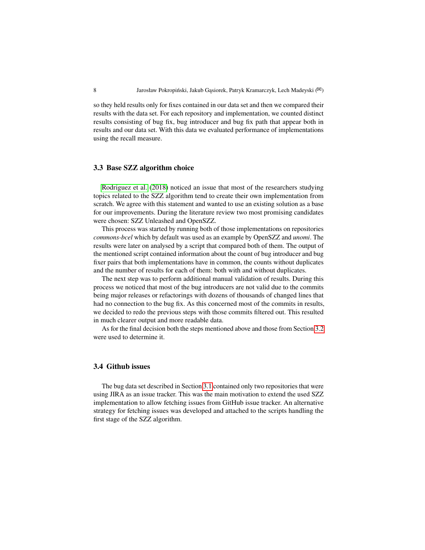so they held results only for fixes contained in our data set and then we compared their results with the data set. For each repository and implementation, we counted distinct results consisting of bug fix, bug introducer and bug fix path that appear both in results and our data set. With this data we evaluated performance of implementations using the recall measure.

#### **3.3 Base SZZ algorithm choice**

[Rodriguez et al.](#page-17-6) [\(2018\)](#page-17-6) noticed an issue that most of the researchers studying topics related to the SZZ algorithm tend to create their own implementation from scratch. We agree with this statement and wanted to use an existing solution as a base for our improvements. During the literature review two most promising candidates were chosen: SZZ Unleashed and OpenSZZ.

This process was started by running both of those implementations on repositories *commons-bcel* which by default was used as an example by OpenSZZ and *unomi*. The results were later on analysed by a script that compared both of them. The output of the mentioned script contained information about the count of bug introducer and bug fixer pairs that both implementations have in common, the counts without duplicates and the number of results for each of them: both with and without duplicates.

The next step was to perform additional manual validation of results. During this process we noticed that most of the bug introducers are not valid due to the commits being major releases or refactorings with dozens of thousands of changed lines that had no connection to the bug fix. As this concerned most of the commits in results, we decided to redo the previous steps with those commits filtered out. This resulted in much clearer output and more readable data.

As for the final decision both the steps mentioned above and those from Section [3.2](#page-6-1) were used to determine it.

# **3.4 Github issues**

The bug data set described in Section [3.1](#page-6-2) contained only two repositories that were using JIRA as an issue tracker. This was the main motivation to extend the used SZZ implementation to allow fetching issues from GitHub issue tracker. An alternative strategy for fetching issues was developed and attached to the scripts handling the first stage of the SZZ algorithm.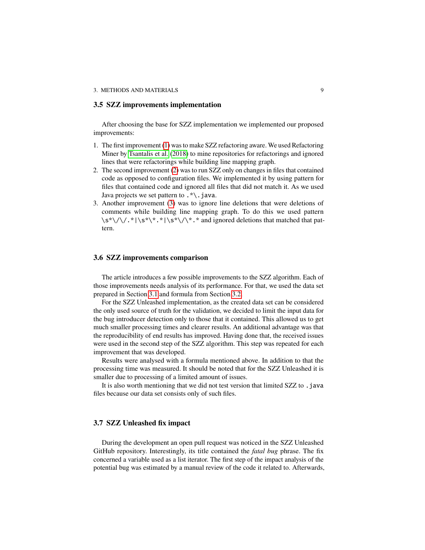#### **3.5 SZZ improvements implementation**

After choosing the base for SZZ implementation we implemented our proposed improvements:

- 1. The first improvement [\(1\)](#page-5-0) was to make SZZ refactoring aware. We used Refactoring Miner by [Tsantalis et al.](#page-18-1) [\(2018\)](#page-18-1) to mine repositories for refactorings and ignored lines that were refactorings while building line mapping graph.
- 2. The second improvement [\(2\)](#page-5-1) was to run SZZ only on changes in files that contained code as opposed to configuration files. We implemented it by using pattern for files that contained code and ignored all files that did not match it. As we used Java projects we set pattern to .\*\.java.
- 3. Another improvement [\(3\)](#page-5-2) was to ignore line deletions that were deletions of comments while building line mapping graph. To do this we used pattern \s\*\/\/.\*|\s\*\\*.\*|\s\*\/\\*.\* and ignored deletions that matched that pattern.

#### <span id="page-8-0"></span>**3.6 SZZ improvements comparison**

The article introduces a few possible improvements to the SZZ algorithm. Each of those improvements needs analysis of its performance. For that, we used the data set prepared in Section [3.1](#page-6-2) and formula from Section [3.2.](#page-6-1)

For the SZZ Unleashed implementation, as the created data set can be considered the only used source of truth for the validation, we decided to limit the input data for the bug introducer detection only to those that it contained. This allowed us to get much smaller processing times and clearer results. An additional advantage was that the reproducibility of end results has improved. Having done that, the received issues were used in the second step of the SZZ algorithm. This step was repeated for each improvement that was developed.

Results were analysed with a formula mentioned above. In addition to that the processing time was measured. It should be noted that for the SZZ Unleashed it is smaller due to processing of a limited amount of issues.

It is also worth mentioning that we did not test version that limited SZZ to .java files because our data set consists only of such files.

#### <span id="page-8-1"></span>**3.7 SZZ Unleashed fix impact**

During the development an open pull request was noticed in the SZZ Unleashed GitHub repository. Interestingly, its title contained the *fatal bug* phrase. The fix concerned a variable used as a list iterator. The first step of the impact analysis of the potential bug was estimated by a manual review of the code it related to. Afterwards,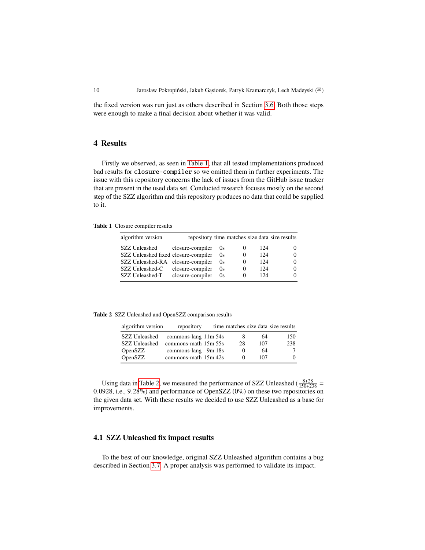the fixed version was run just as others described in Section [3.6.](#page-8-0) Both those steps were enough to make a final decision about whether it was valid.

### <span id="page-9-0"></span>**4 Results**

Firstly we observed, as seen in [Table 1,](#page-9-1) that all tested implementations produced bad results for closure-compiler so we omitted them in further experiments. The issue with this repository concerns the lack of issues from the GitHub issue tracker that are present in the used data set. Conducted research focuses mostly on the second step of the SZZ algorithm and this repository produces no data that could be supplied to it.

#### <span id="page-9-1"></span>**Table 1** Closure compiler results

| algorithm version                    |                  |          |          |     | repository time matches size data size results |
|--------------------------------------|------------------|----------|----------|-----|------------------------------------------------|
| SZZ Unleashed                        | closure-compiler | $\alpha$ |          | 124 | 0                                              |
| SZZ Unleashed fixed closure-compiler |                  | 0s       | $\theta$ | 124 | 0                                              |
| SZZ Unleashed-RA closure-compiler    |                  | 0s       | $\theta$ | 124 | 0                                              |
| SZZ Unleashed-C                      | closure-compiler | 0s       | $\theta$ | 124 | 0                                              |
| SZZ Unleashed-T                      | closure-compiler | 0s       | $^{(1)}$ | 124 | 0                                              |

<span id="page-9-2"></span>**Table 2** SZZ Unleashed and OpenSZZ comparison results

| algorithm version    | repository           |            |     | time matches size data size results |
|----------------------|----------------------|------------|-----|-------------------------------------|
| <b>SZZ Unleashed</b> | commons-lang 11m 54s | 8          | 64  | 150                                 |
| <b>SZZ</b> Unleashed | commons-math 15m 55s | 28         | 107 | 238                                 |
| OpenSZZ              | commons-lang 9m 18s  | $\theta$   | 64  | 7                                   |
| OpenSZZ              | commons-math 15m 42s | $^{\circ}$ | 107 | 0                                   |

Using data in [Table 2,](#page-9-2) we measured the performance of SZZ Unleashed ( $\frac{8+28}{150+238}$  = 0.0928, i.e., 9.28%) and performance of OpenSZZ (0%) on these two repositories on the given data set. With these results we decided to use SZZ Unleashed as a base for improvements.

#### **4.1 SZZ Unleashed fix impact results**

To the best of our knowledge, original SZZ Unleashed algorithm contains a bug described in Section [3.7.](#page-8-1) A proper analysis was performed to validate its impact.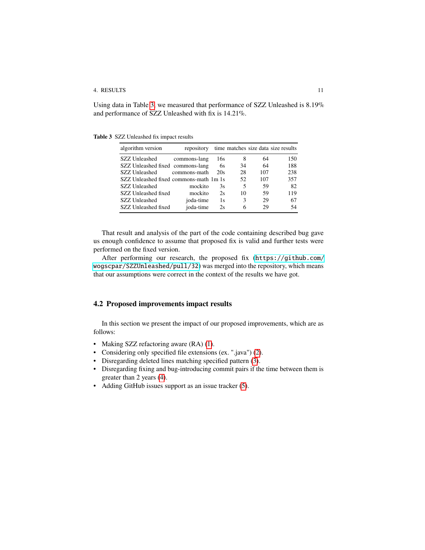#### 4. RESULTS 11

Using data in Table [3,](#page-10-0) we measured that performance of SZZ Unleashed is 8.19% and performance of SZZ Unleashed with fix is 14.21%.

<span id="page-10-0"></span>**Table 3** SZZ Unleashed fix impact results

| algorithm version                      | repository   |     |    |     | time matches size data size results |
|----------------------------------------|--------------|-----|----|-----|-------------------------------------|
| SZZ Unleashed                          | commons-lang | 16s | 8  | 64  | 150                                 |
| SZZ Unleashed fixed commons-lang       |              | 6s  | 34 | 64  | 188                                 |
| SZZ Unleashed                          | commons-math | 20s | 28 | 107 | 238                                 |
| SZZ Unleashed fixed commons-math 1m 1s |              |     | 52 | 107 | 357                                 |
| SZZ Unleashed                          | mockito      | 3s  | 5  | 59  | 82                                  |
| SZZ Unleashed fixed                    | mockito      | 2s  | 10 | 59  | 119                                 |
| <b>SZZ</b> Unleashed                   | joda-time    | 1s  | 3  | 29  | 67                                  |
| SZZ Unleashed fixed                    | joda-time    | 2s  | 6  | 29  | 54                                  |

That result and analysis of the part of the code containing described bug gave us enough confidence to assume that proposed fix is valid and further tests were performed on the fixed version.

After performing our research, the proposed fix ([https://github.com/](https://github.com/wogscpar/SZZUnleashed/pull/32) [wogscpar/SZZUnleashed/pull/32](https://github.com/wogscpar/SZZUnleashed/pull/32)) was merged into the repository, which means that our assumptions were correct in the context of the results we have got.

#### **4.2 Proposed improvements impact results**

In this section we present the impact of our proposed improvements, which are as follows:

- Making SZZ refactoring aware (RA) [\(1\)](#page-5-0).
- Considering only specified file extensions (ex. ".java") [\(2\)](#page-5-1).
- Disregarding deleted lines matching specified pattern [\(3\)](#page-5-2).
- Disregarding fixing and bug-introducing commit pairs if the time between them is greater than 2 years [\(4\)](#page-5-3).
- Adding GitHub issues support as an issue tracker [\(5\)](#page-5-4).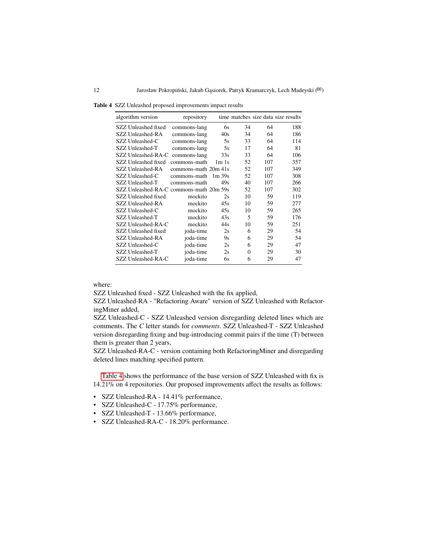<span id="page-11-0"></span>**Table 4** SZZ Unleashed proposed improvements impact results

| algorithm version   | repository           |                                |          |     | time matches size data size results |
|---------------------|----------------------|--------------------------------|----------|-----|-------------------------------------|
| SZZ Unleashed fixed | commons-lang         | 6s                             | 34       | 64  | 188                                 |
| SZZ Unleashed-RA    | commons-lang         | 40s                            | 34       | 64  | 186                                 |
| SZZ Unleashed-C     | commons-lang         | 5s                             | 33       | 64  | 114                                 |
| SZZ Unleashed-T     | commons-lang         | 5s                             | 17       | 64  | 81                                  |
| SZZ Unleashed-RA-C  | commons-lang         | 33s                            | 33       | 64  | 106                                 |
| SZZ Unleashed fixed | commons-math         | 1 <sub>m</sub> 1 <sub>s</sub>  | 52       | 107 | 357                                 |
| SZZ Unleashed-RA    | commons-math 20m 41s |                                | 52       | 107 | 349                                 |
| SZZ Unleashed-C     | commons-math         | 1 <sub>m</sub> 39 <sub>s</sub> | 52       | 107 | 308                                 |
| SZZ Unleashed-T     | commons-math         | 49s                            | 40       | 107 | 266                                 |
| SZZ Unleashed-RA-C  | commons-math 20m 59s |                                | 52       | 107 | 302                                 |
| SZZ Unleashed fixed | mockito              | 2s                             | 10       | 59  | 119                                 |
| SZZ Unleashed-RA    | mockito              | 45s                            | 10       | 59  | 277                                 |
| SZZ Unleashed-C     | mockito              | 45s                            | 10       | 59  | 265                                 |
| SZZ Unleashed-T     | mockito              | 43s                            | 5        | 59  | 176                                 |
| SZZ Unleashed-RA-C  | mockito              | 44s                            | 10       | 59  | 251                                 |
| SZZ Unleashed fixed | joda-time            | 2s                             | 6        | 29  | 54                                  |
| SZZ Unleashed-RA    | joda-time            | 9s                             | 6        | 29  | 54                                  |
| SZZ Unleashed-C     | joda-time            | 2s                             | 6        | 29  | 47                                  |
| SZZ Unleashed-T     | joda-time            | 2s                             | $\theta$ | 29  | 30                                  |
| SZZ Unleashed-RA-C  | joda-time            | 6s                             | 6        | 29  | 47                                  |

where:

SZZ Unleashed fixed - SZZ Unleashed with the fix applied,

SZZ Unleashed-RA - "Refactoring Aware" version of SZZ Unleashed with RefactoringMiner added,

SZZ Unleashed-C - SZZ Unleashed version disregarding deleted lines which are comments. The *C* letter stands for *comments*. SZZ Unleashed-T - SZZ Unleashed version disregarding fixing and bug-introducing commit pairs if the time (T) between them is greater than 2 years,

SZZ Unleashed-RA-C - version containing both RefactoringMiner and disregarding deleted lines matching specified pattern.

[Table 4](#page-11-0) shows the performance of the base version of SZZ Unleashed with fix is 14.21% on 4 repositories. Our proposed improvements affect the results as follows:

- SZZ Unleashed-RA 14.41% performance,
- SZZ Unleashed-C 17.75% performance,
- SZZ Unleashed-T 13.66% performance,
- SZZ Unleashed-RA-C 18.20% performance.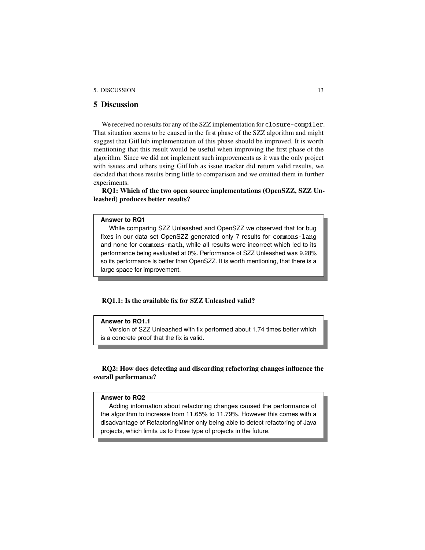#### 5. DISCUSSION 13

# <span id="page-12-0"></span>**5 Discussion**

We received no results for any of the SZZ implementation for closure-compiler. That situation seems to be caused in the first phase of the SZZ algorithm and might suggest that GitHub implementation of this phase should be improved. It is worth mentioning that this result would be useful when improving the first phase of the algorithm. Since we did not implement such improvements as it was the only project with issues and others using GitHub as issue tracker did return valid results, we decided that those results bring little to comparison and we omitted them in further experiments.

**RQ1: Which of the two open source implementations (OpenSZZ, SZZ Unleashed) produces better results?**

#### **Answer to RQ1**

While comparing SZZ Unleashed and OpenSZZ we observed that for bug fixes in our data set OpenSZZ generated only 7 results for commons-lang and none for commons-math, while all results were incorrect which led to its performance being evaluated at 0%. Performance of SZZ Unleashed was 9.28% so its performance is better than OpenSZZ. It is worth mentioning, that there is a large space for improvement.

### **RQ1.1: Is the available fix for SZZ Unleashed valid?**

#### **Answer to RQ1.1**

Version of SZZ Unleashed with fix performed about 1.74 times better which is a concrete proof that the fix is valid.

**RQ2: How does detecting and discarding refactoring changes influence the overall performance?**

#### **Answer to RQ2**

Adding information about refactoring changes caused the performance of the algorithm to increase from 11.65% to 11.79%. However this comes with a disadvantage of RefactoringMiner only being able to detect refactoring of Java projects, which limits us to those type of projects in the future.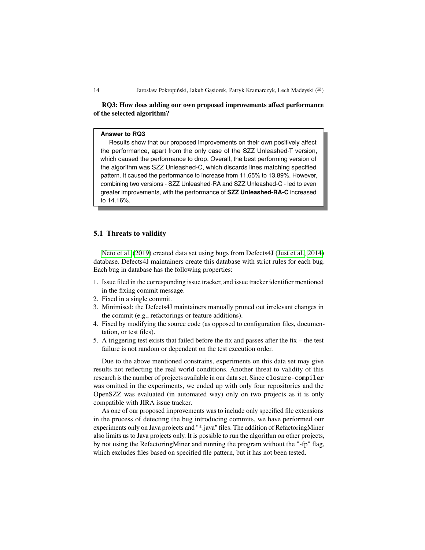**RQ3: How does adding our own proposed improvements affect performance of the selected algorithm?**

#### **Answer to RQ3**

Results show that our proposed improvements on their own positively affect the performance, apart from the only case of the SZZ Unleashed-T version, which caused the performance to drop. Overall, the best performing version of the algorithm was SZZ Unleashed-C, which discards lines matching specified pattern. It caused the performance to increase from 11.65% to 13.89%. However, combining two versions - SZZ Unleashed-RA and SZZ Unleashed-C - led to even greater improvements, with the performance of **SZZ Unleashed-RA-C** increased to 14.16%.

#### **5.1 Threats to validity**

[Neto et al.](#page-17-2) [\(2019\)](#page-17-2) created data set using bugs from Defects4J [\(Just et al., 2014\)](#page-17-7) database. Defects4J maintainers create this database with strict rules for each bug. Each bug in database has the following properties:

- 1. Issue filed in the corresponding issue tracker, and issue tracker identifier mentioned in the fixing commit message.
- 2. Fixed in a single commit.
- 3. Minimised: the Defects4J maintainers manually pruned out irrelevant changes in the commit (e.g., refactorings or feature additions).
- 4. Fixed by modifying the source code (as opposed to configuration files, documentation, or test files).
- 5. A triggering test exists that failed before the fix and passes after the fix the test failure is not random or dependent on the test execution order.

Due to the above mentioned constrains, experiments on this data set may give results not reflecting the real world conditions. Another threat to validity of this research is the number of projects available in our data set. Since closure-compiler was omitted in the experiments, we ended up with only four repositories and the OpenSZZ was evaluated (in automated way) only on two projects as it is only compatible with JIRA issue tracker.

As one of our proposed improvements was to include only specified file extensions in the process of detecting the bug introducing commits, we have performed our experiments only on Java projects and "\*.java" files. The addition of RefactoringMiner also limits us to Java projects only. It is possible to run the algorithm on other projects, by not using the RefactoringMiner and running the program without the "-fp" flag, which excludes files based on specified file pattern, but it has not been tested.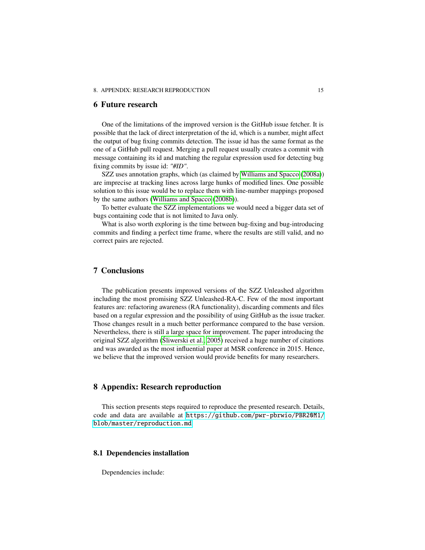#### 8. APPENDIX: RESEARCH REPRODUCTION 15

## <span id="page-14-0"></span>**6 Future research**

One of the limitations of the improved version is the GitHub issue fetcher. It is possible that the lack of direct interpretation of the id, which is a number, might affect the output of bug fixing commits detection. The issue id has the same format as the one of a GitHub pull request. Merging a pull request usually creates a commit with message containing its id and matching the regular expression used for detecting bug fixing commits by issue id: *"#ID"*.

SZZ uses annotation graphs, which (as claimed by [Williams and Spacco](#page-18-2) [\(2008a\)](#page-18-2)) are imprecise at tracking lines across large hunks of modified lines. One possible solution to this issue would be to replace them with line-number mappings proposed by the same authors [\(Williams and Spacco](#page-18-3) [\(2008b\)](#page-18-3)).

To better evaluate the SZZ implementations we would need a bigger data set of bugs containing code that is not limited to Java only.

What is also worth exploring is the time between bug-fixing and bug-introducing commits and finding a perfect time frame, where the results are still valid, and no correct pairs are rejected.

# <span id="page-14-1"></span>**7 Conclusions**

The publication presents improved versions of the SZZ Unleashed algorithm including the most promising SZZ Unleashed-RA-C. Few of the most important features are: refactoring awareness (RA functionality), discarding comments and files based on a regular expression and the possibility of using GitHub as the issue tracker. Those changes result in a much better performance compared to the base version. Nevertheless, there is still a large space for improvement. The paper introducing the original SZZ algorithm [\(Śliwerski et al., 2005\)](#page-18-0) received a huge number of citations and was awarded as the most influential paper at MSR conference in 2015. Hence, we believe that the improved version would provide benefits for many researchers.

# **8 Appendix: Research reproduction**

This section presents steps required to reproduce the presented research. Details, code and data are available at [https://github.com/pwr-pbrwio/PBR20M1/](https://github.com/pwr-pbrwio/PBR20M1/blob/master/reproduction.md) [blob/master/reproduction.md](https://github.com/pwr-pbrwio/PBR20M1/blob/master/reproduction.md).

#### **8.1 Dependencies installation**

Dependencies include: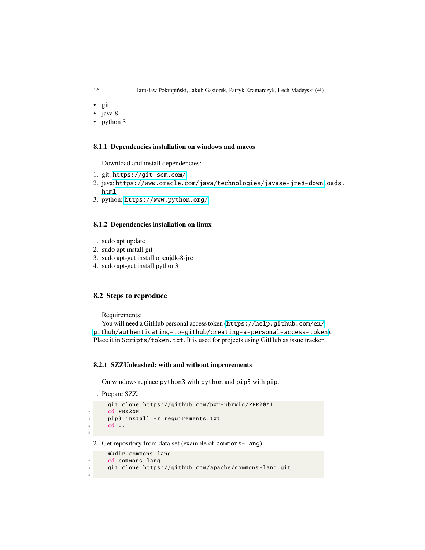- git
- java 8
- python 3

#### **8.1.1 Dependencies installation on windows and macos**

Download and install dependencies:

- 1. git: <https://git-scm.com/>
- 2. java: [https://www.oracle.com/java/technologies/javase-jre8-downl](https://www.oracle.com/java/technologies/javase-jre8-downloads.html)oads. [html](https://www.oracle.com/java/technologies/javase-jre8-downloads.html)
- 3. python: <https://www.python.org/>

# **8.1.2 Dependencies installation on linux**

- 1. sudo apt update
- 2. sudo apt install git
- 3. sudo apt-get install openjdk-8-jre
- 4. sudo apt-get install python3

# **8.2 Steps to reproduce**

Requirements:

You will need a GitHub personal access token ([https://help.github.com/en/](https://help.github.com/en/github/authenticating-to-github/creating-a-personal-access-token) [github/authenticating-to-github/creating-a-personal-access-token](https://help.github.com/en/github/authenticating-to-github/creating-a-personal-access-token)). Place it in Scripts/token.txt. It is used for projects using GitHub as issue tracker.

#### **8.2.1 SZZUnleashed: with and without improvements**

On windows replace python3 with python and pip3 with pip.

```
1. Prepare SZZ:
```
5

```
git clone https://github.com/pwr-pbrwio/PBR20M1
cd PBR20M1
pip3 install -r requirements.txt
cd ...
```
2. Get repository from data set (example of commons-lang):

```
mkdir commons-lang
     cd commons-lang
     git clone https://github.com/apache/commons-lang.git
4
```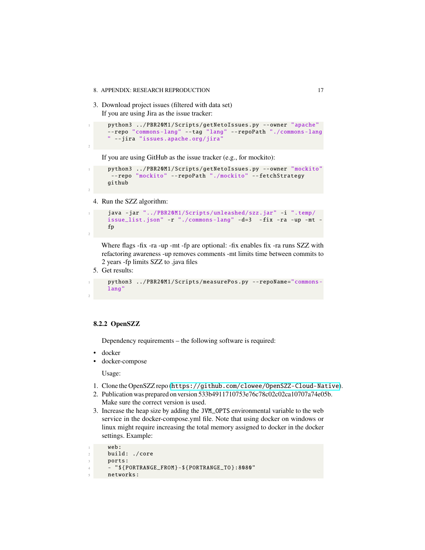3. Download project issues (filtered with data set) If you are using Jira as the issue tracker:

```
python3 ../ PBR20M1/Scripts/ getNetoIssues .py --owner "apache"
--repo "commons -lang" --tag "lang" --repoPath "./commons -lang
" --jira "issues.apache.org/jira"
```
If you are using GitHub as the issue tracker (e.g., for mockito):

```
1 python3 ../ PBR20M1/Scripts/ getNetoIssues .py --owner "mockito"
 --repo "mockito" --repoPath "./mockito" --fetchStrategy
github
```
4. Run the SZZ algorithm:

```
java -jar "../PBR20M1/Scripts/unleashed/szz.jar" -i ".temp/
issue_list.json" -r "./commons -lang" -d=3 -fix -ra -up -mt -
fp
```
Where flags -fix -ra -up -mt -fp are optional: -fix enables fix -ra runs SZZ with refactoring awareness -up removes comments -mt limits time between commits to 2 years -fp limits SZZ to .java files

5. Get results:

2

2

2

```
python3 ../ PBR20M1/Scripts/ measurePos .py -- repoName="commons -
lang"
```
#### **8.2.2 OpenSZZ**

Dependency requirements – the following software is required:

- docker
- docker-compose

Usage:

- 1. Clone the OpenSZZ repo (<https://github.com/clowee/OpenSZZ-Cloud-Native>).
- 2. Publication was prepared on version 533b4911710753e76c78c02c02ca10707a74e05b. Make sure the correct version is used.
- 3. Increase the heap size by adding the JVM\_OPTS environmental variable to the web service in the docker-compose.yml file. Note that using docker on windows or linux might require increasing the total memory assigned to docker in the docker settings. Example:

```
web:
build: ./core
ports:
4 - "${ PORTRANGE_FROM }-${ PORTRANGE_TO }:8080"
networks:
```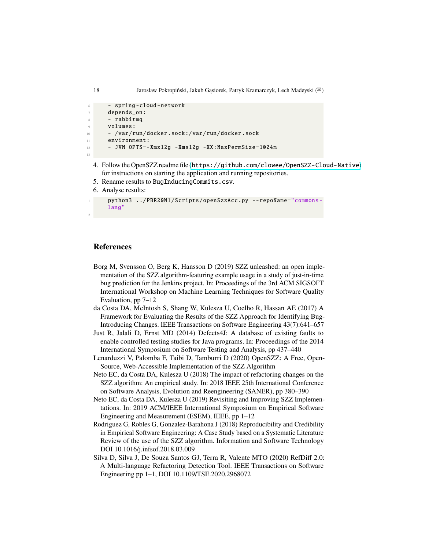```
- spring-cloud-network
      depends_on:
      - rabbitmq
      volumes:
10 - /var/run/docker.sock :/ var/run/docker.sock
11 environment :
12 - JVM_OPTS = - Xmx12g - Xms12g - XX: MaxPermSize = 1024m
13
```
- 4. Follow the OpenSZZ readme file (<https://github.com/clowee/OpenSZZ-Cloud-Native>) for instructions on starting the application and running repositories.
- 5. Rename results to BugInducingCommits.csv.
- 6. Analyse results:

```
python3 ../ PBR20M1/Scripts/ openSzzAcc.py -- repoName="commons-
lang"
```
#### **References**

- <span id="page-17-0"></span>Borg M, Svensson O, Berg K, Hansson D (2019) SZZ unleashed: an open implementation of the SZZ algorithm-featuring example usage in a study of just-in-time bug prediction for the Jenkins project. In: Proceedings of the 3rd ACM SIGSOFT International Workshop on Machine Learning Techniques for Software Quality Evaluation, pp 7–12
- <span id="page-17-4"></span>da Costa DA, McIntosh S, Shang W, Kulesza U, Coelho R, Hassan AE (2017) A Framework for Evaluating the Results of the SZZ Approach for Identifying Bug-Introducing Changes. IEEE Transactions on Software Engineering 43(7):641–657
- <span id="page-17-7"></span>Just R, Jalali D, Ernst MD (2014) Defects4J: A database of existing faults to enable controlled testing studies for Java programs. In: Proceedings of the 2014 International Symposium on Software Testing and Analysis, pp 437–440
- <span id="page-17-1"></span>Lenarduzzi V, Palomba F, Taibi D, Tamburri D (2020) OpenSZZ: A Free, Open-Source, Web-Accessible Implementation of the SZZ Algorithm
- <span id="page-17-3"></span>Neto EC, da Costa DA, Kulesza U (2018) The impact of refactoring changes on the SZZ algorithm: An empirical study. In: 2018 IEEE 25th International Conference on Software Analysis, Evolution and Reengineering (SANER), pp 380–390
- <span id="page-17-2"></span>Neto EC, da Costa DA, Kulesza U (2019) Revisiting and Improving SZZ Implementations. In: 2019 ACM/IEEE International Symposium on Empirical Software Engineering and Measurement (ESEM), IEEE, pp 1–12
- <span id="page-17-6"></span>Rodriguez G, Robles G, Gonzalez-Barahona J (2018) Reproducibility and Credibility in Empirical Software Engineering: A Case Study based on a Systematic Literature Review of the use of the SZZ algorithm. Information and Software Technology DOI 10.1016/j.infsof.2018.03.009
- <span id="page-17-5"></span>Silva D, Silva J, De Souza Santos GJ, Terra R, Valente MTO (2020) RefDiff 2.0: A Multi-language Refactoring Detection Tool. IEEE Transactions on Software Engineering pp 1–1, DOI 10.1109/TSE.2020.2968072